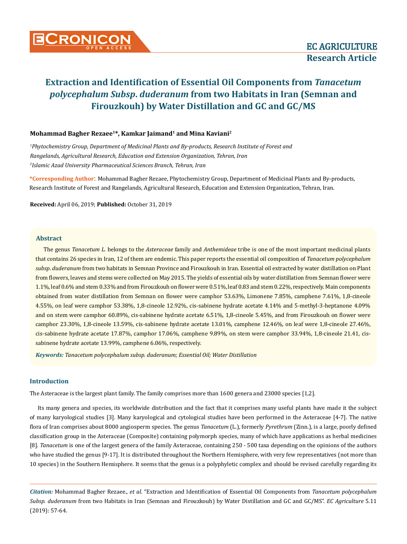

## **Mohammad Bagher Rezaee<sup>1</sup>\*, Kamkar Jaimand<sup>1</sup> and Mina Kaviani<sup>2</sup>**

*1 Phytochemistry Group, Department of Medicinal Plants and By-products, Research Institute of Forest and Rangelands, Agricultural Research, Education and Extension Organization, Tehran, Iran 2 Islamic Azad University Pharmaceutical Sciences Branch, Tehran, Iran*

**\*Corresponding Author**: Mohammad Bagher Rezaee, Phytochemistry Group, Department of Medicinal Plants and By-products, Research Institute of Forest and Rangelands, Agricultural Research, Education and Extension Organization, Tehran, Iran.

**Received:** April 06, 2019; **Published:** October 31, 2019

#### **Abstract**

The genus *Tanacetum L*. belongs to the *Asteraceae* family and *Anthemideae* tribe is one of the most important medicinal plants that contains 26 species in Iran, 12 of them are endemic. This paper reports the essential oil composition of *Tanacetum polycephalum subsp*. *duderanum* from two habitats in Semnan Province and Firouzkouh in Iran. Essential oil extracted by water distillation on Plant from flowers, leaves and stems were collected on May 2015. The yields of essential oils by water distillation from Semnan flower were 1.1%, leaf 0.6% and stem 0.33% and from Firouzkouh on flower were 0.51%, leaf 0.83 and stem 0.22%, respectively. Main components obtained from water distillation from Semnan on flower were camphor 53.63%, Limonene 7.85%, camphene 7.61%, 1,8-cineole 4.55%, on leaf were camphor 53.38%, 1,8-cineole 12.92%, cis-sabinene hydrate acetate 4.14% and 5-methyl-3-heptanone 4.09% and on stem were camphor 60.89%, cis-sabinene hydrate acetate 6.51%, 1,8-cineole 5.45%, and from Firouzkouh on flower were camphor 23.30%, 1,8-cineole 13.59%, cis-sabinene hydrate acetate 13.01%, camphene 12.46%, on leaf were 1,8-cineole 27.46%, cis-sabinene hydrate acetate 17.87%, camphor 17.06%, camphene 9.89%, on stem were camphor 33.94%, 1,8-cineole 21.41, cissabinene hydrate acetate 13.99%, camphene 6.06%, respectively.

*Keywords: Tanacetum polycephalum subsp. duderanum; Essential Oil; Water Distillation*

# **Introduction**

The Asteraceae is the largest plant family. The family comprises more than 1600 genera and 23000 species [1,2].

Its many genera and species, its worldwide distribution and the fact that it comprises many useful plants have made it the subject of many karyological studies [3]. Many karyological and cytological studies have been performed in the Asteraceae [4-7]. The native flora of Iran comprises about 8000 angiosperm species. The genus *Tanacetum* (L.), formerly *Pyrethrum* (Zinn.), is a large, poorly defined classification group in the Asteraceae (Composite) containing polymorph species, many of which have applications as herbal medicines [8]. *Tanacetum* is one of the largest genera of the family Asteraceae, containing 250 - 500 taxa depending on the opinions of the authors who have studied the genus [9-17]. It is distributed throughout the Northern Hemisphere, with very few representatives (not more than 10 species) in the Southern Hemisphere. It seems that the genus is a polyphyletic complex and should be revised carefully regarding its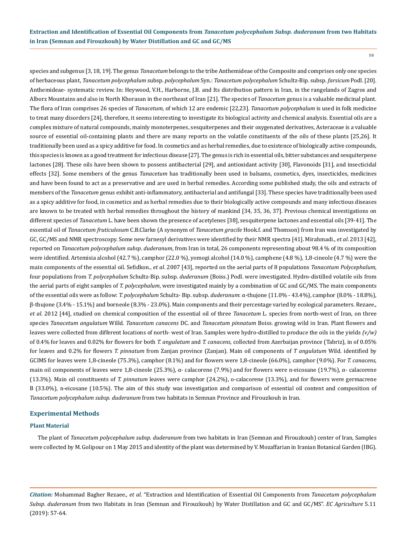58

species and subgenus [3, 18, 19]. The genus *Tanacetum* belongs to the tribe Anthemideae of the Composite and comprises only one species of herbaceous plant, *Tanacetum polycephalum* subsp. *polycephalum* Syn.: *Tanacetum polycephalum* Schultz-Bip. subsp. *farsicum* Podl. [20]. Anthemideae- systematic review. In: Heywood, V.H., Harborne, J.B. and Its distribution pattern in Iran, in the rangelands of Zagros and Alborz Mountains and also in North Khorasan in the northeast of Iran [21]. The species of *Tanacetum* genus is a valuable medicinal plant. The flora of Iran comprises 26 species of *Tanacetum*, of which 12 are endemic [22,23]. *Tanacetum polycephalum* is used in folk medicine to treat many disorders [24], therefore, it seems interesting to investigate its biological activity and chemical analysis. Essential oils are a complex mixture of natural compounds, mainly monoterpenes, sesquiterpenes and their oxygenated derivatives, Asteraceae is a valuable source of essential oil-containing plants and there are many reports on the volatile constituents of the oils of these plants [25,26]. It traditionally been used as a spicy additive for food. In cosmetics and as herbal remedies, due to existence of biologically active compounds, this species is known as a good treatment for infectious disease [27]. The genus is rich in essential oils, bitter substances and sesquiterpene lactones [28]. These oils have been shown to possess antibacterial [29], and antioxidant activity [30], Flavonoids [31], and insecticidal effects [32]. Some members of the genus *Tanacetum* has traditionally been used in balsams, cosmetics, dyes, insecticides, medicines and have been found to act as a preservative and are used in herbal remedies. According some published study, the oils and extracts of members of the *Tanacetum* genus exhibit anti-inflammatory, antibacterial and antifungal [33]. These species have traditionally been used as a spicy additive for food, in cosmetics and as herbal remedies due to their biologically active compounds and many infectious diseases are known to be treated with herbal remedies throughout the history of mankind [34, 35, 36, 37]. Previous chemical investigations on different species of *Tanacetum* L. have been shown the presence of acetylenes [38], sesquiterpene lactones and essential oils [39-41]. The essential oil of *Tanacetum fruticulosum* C.B.Clarke (A synonym of *Tanacetum gracile* Hook.f. and Thomson) from Iran was investigated by GC, GC/MS and NMR spectroscopy. Some new farnesyl derivatives were identified by their NMR spectra [41]. [Mirahmadi.](https://www.researchgate.net/profile/Seyed_Fazel_Mirahmadi), *et al*. 2013 [42], reported on *Tanacetum polycephalum subsp*. *duderanum*, from Iran in total, 26 components representing about 98.4 % of its composition were identified. Artemisia alcohol (42.7 %), camphor (22.0 %), yomogi alcohol (14.0 %), camphene (4.8 %), 1,8-cineole (4.7 %) were the main components of the essential oil. Sefidkon., *et al*. 2007 [43], reported on the aerial parts of 8 populations *Tanacetum Polycephalum,*  four populations from *T. polycephalum* Schultz-Bip. subsp. *duderanum* (Boiss.) Podl. were investigated. Hydro-distilled volatile oils from the aerial parts of eight samples of *T. polycephalum*, were investigated mainly by a combination of GC and GC/MS. The main components of the essential oils were as follow: *T. polycephalum* Schultz- Bip. subsp. *duderanum*: α-thujone (11.0% - 43.4%), camphor (8.0% - 18.8%), β-thujone (3.4% - 15.1%) and borneole (8.3% - 23.0%). Main components and their percentage varied by ecological parameters. Rezaee., *et al*. 2012 [44], studied on chemical composition of the essential oil of three *Tanacetum* L. species from north-west of Iran, on three species *Tanacetum angulatum* Willd. *Tanacetum canacens* DC. and *Tanacetum pinnatum* Boiss. growing wild in Iran. Plant flowers and leaves were collected from different locations of north- west of Iran. Samples were hydro-distilled to produce the oils in the yields *(v/w)*  of 0.4% for leaves and 0.02% for flowers for both *T. angulatum* and *T. canacens*, collected from Azerbaijan province (Tabriz), in of 0.05% for leaves and 0.2% for flowers *T. pinnatum* from Zanjan province (Zanjan). Main oil components of *T angulatum* Wild. identified by GCIMS for leaves were 1,8-cineole (75.3%), camphor (8.1%) and for flowers were 1,8-cineole (66.0%), camphor (9.0%). For *T. canacens,*  main oil components of leaves were 1,8-cineole (25.3%), α- calacorene (7.9%) and for flowers were n-eicosane (19.7%), α- calacorene (13.3%). Main oil constituents of *T. pinnatum* leaves were camphor (24.2%), o-calacorene (13.3%), and for flowers were germacrene B (33.0%), n-eicosane (10.5%). The aim of this study was investigation and comparison of essential oil content and composition of *Tanacetum polycephalum subsp. duderanum* from two habitats in Semnan Province and Firouzkouh in Iran.

#### **Experimental Methods**

#### **Plant Material**

The plant of *Tanacetum polycephalum subsp. duderanum* from two habitats in Iran (Semnan and Firouzkouh) center of Iran, Samples were collected by M. Golipour on 1 May 2015 and identity of the plant was determined by V. Mozaffarian in Iranian Botanical Garden (IBG).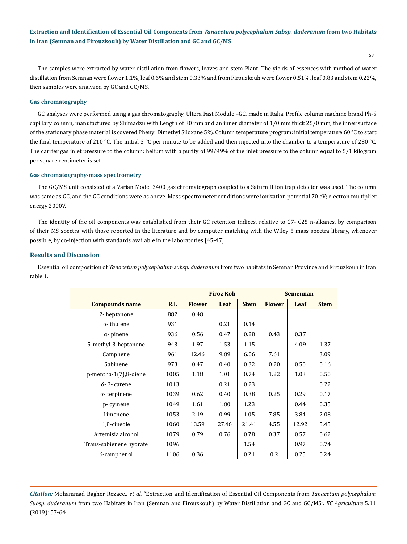59

The samples were extracted by water distillation from flowers, leaves and stem Plant. The yields of essences with method of water distillation from Semnan were flower 1.1%, leaf 0.6% and stem 0.33% and from Firouzkouh were flower 0.51%, leaf 0.83 and stem 0.22%, then samples were analyzed by GC and GC/MS.

#### **Gas chromatography**

GC analyses were performed using a gas chromatography, Ultera Fast Module –GC, made in Italia. Profile column machine brand Ph-5 capillary column, manufactured by Shimadzu with Length of 30 mm and an inner diameter of 1/0 mm thick 25/0 mm, the inner surface of the stationary phase material is covered Phenyl Dimethyl Siloxane 5%. Column temperature program: initial temperature 60 °C to start the final temperature of 210 °C. The initial 3 °C per minute to be added and then injected into the chamber to a temperature of 280 °C. The carrier gas inlet pressure to the column: helium with a purity of 99/99% of the inlet pressure to the column equal to 5/1 kilogram per square centimeter is set.

#### **Gas chromatography-mass spectrometry**

The GC/MS unit consisted of a Varian Model 3400 gas chromatograph coupled to a Saturn II ion trap detector was used. The column was same as GC, and the GC conditions were as above. Mass spectrometer conditions were ionization potential 70 eV; electron multiplier energy 2000V.

The identity of the oil components was established from their GC retention indices, relative to C7- C25 n-alkanes, by comparison of their MS spectra with those reported in the literature and by computer matching with the Wiley 5 mass spectra library, whenever possible, by co-injection with standards available in the laboratories [45-47].

#### **Results and Discussion**

Essential oil composition of *Tanacetum polycephalum subsp. duderanum* from two habitats in Semnan Province and Firouzkouh in Iran table 1.

|                          |      | <b>Firoz Koh</b> |       |             | <b>Semennan</b> |       |             |
|--------------------------|------|------------------|-------|-------------|-----------------|-------|-------------|
| <b>Compounds name</b>    | R.I. | <b>Flower</b>    | Leaf  | <b>Stem</b> | <b>Flower</b>   | Leaf  | <b>Stem</b> |
| 2-heptanone              | 882  | 0.48             |       |             |                 |       |             |
| $\alpha$ -thujene        | 931  |                  | 0.21  | 0.14        |                 |       |             |
| $\alpha$ - pinene        | 936  | 0.56             | 0.47  | 0.28        | 0.43            | 0.37  |             |
| 5-methyl-3-heptanone     | 943  | 1.97             | 1.53  | 1.15        |                 | 4.09  | 1.37        |
| Camphene                 | 961  | 12.46            | 9.89  | 6.06        | 7.61            |       | 3.09        |
| Sabinene                 | 973  | 0.47             | 0.40  | 0.32        | 0.20            | 0.50  | 0.16        |
| $p$ -mentha-1(7),8-diene | 1005 | 1.18             | 1.01  | 0.74        | 1.22            | 1.03  | 0.50        |
| $\delta$ - 3- carene     | 1013 |                  | 0.21  | 0.23        |                 |       | 0.22        |
| $\alpha$ -terpinene      | 1039 | 0.62             | 0.40  | 0.38        | 0.25            | 0.29  | 0.17        |
| p-cymene                 | 1049 | 1.61             | 1.80  | 1.23        |                 | 0.44  | 0.35        |
| Limonene                 | 1053 | 2.19             | 0.99  | 1.05        | 7.85            | 3.84  | 2.08        |
| 1,8-cineole              | 1060 | 13.59            | 27.46 | 21.41       | 4.55            | 12.92 | 5.45        |
| Artemisia alcohol        | 1079 | 0.79             | 0.76  | 0.78        | 0.37            | 0.57  | 0.62        |
| Trans-sabienene hydrate  | 1096 |                  |       | 1.54        |                 | 0.97  | 0.74        |
| 6-camphenol              | 1106 | 0.36             |       | 0.21        | 0.2             | 0.25  | 0.24        |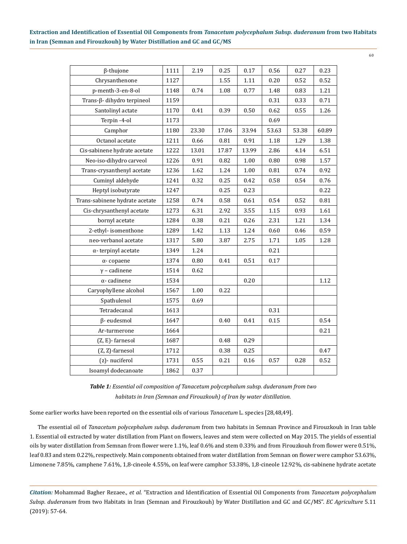| β-thujone                      | 1111 | 2.19  | 0.25  | 0.17  | 0.56  | 0.27  | 0.23  |
|--------------------------------|------|-------|-------|-------|-------|-------|-------|
| Chrysanthenone                 | 1127 |       | 1.55  | 1.11  | 0.20  | 0.52  | 0.52  |
| p-menth-3-en-8-ol              | 1148 | 0.74  | 1.08  | 0.77  | 1.48  | 0.83  | 1.21  |
| Trans-β- dihydro terpineol     | 1159 |       |       |       | 0.31  | 0.33  | 0.71  |
| Santolinyl actate              | 1170 | 0.41  | 0.39  | 0.50  | 0.62  | 0.55  | 1.26  |
| Terpin-4-ol                    | 1173 |       |       |       | 0.69  |       |       |
| Camphor                        | 1180 | 23.30 | 17.06 | 33.94 | 53.63 | 53.38 | 60.89 |
| Octanol acetate                | 1211 | 0.66  | 0.81  | 0.91  | 1.18  | 1.29  | 1.38  |
| Cis-sabinene hydrate acetate   | 1222 | 13.01 | 17.87 | 13.99 | 2.86  | 4.14  | 6.51  |
| Neo-iso-dihydro carveol        | 1226 | 0.91  | 0.82  | 1.00  | 0.80  | 0.98  | 1.57  |
| Trans-crysanthenyl acetate     | 1236 | 1.62  | 1.24  | 1.00  | 0.81  | 0.74  | 0.92  |
| Cuminyl aldehyde               | 1241 | 0.32  | 0.25  | 0.42  | 0.58  | 0.54  | 0.76  |
| Heptyl isobutyrate             | 1247 |       | 0.25  | 0.23  |       |       | 0.22  |
| Trans-sabinene hydrate acetate | 1258 | 0.74  | 0.58  | 0.61  | 0.54  | 0.52  | 0.81  |
| Cis-chrysanthenyl acetate      | 1273 | 6.31  | 2.92  | 3.55  | 1.15  | 0.93  | 1.61  |
| bornyl acetate                 | 1284 | 0.38  | 0.21  | 0.26  | 2.31  | 1.21  | 1.34  |
| 2-ethyl-isomenthone            | 1289 | 1.42  | 1.13  | 1.24  | 0.60  | 0.46  | 0.59  |
| neo-verbanol acetate           | 1317 | 5.80  | 3.87  | 2.75  | 1.71  | 1.05  | 1.28  |
| $\alpha$ - terpinyl acetate    | 1349 | 1.24  |       |       | 0.21  |       |       |
| $\alpha$ -copaene              | 1374 | 0.80  | 0.41  | 0.51  | 0.17  |       |       |
| $y$ – cadinene                 | 1514 | 0.62  |       |       |       |       |       |
| $\alpha$ - cadinene            | 1534 |       |       | 0.20  |       |       | 1.12  |
| Caryophyllene alcohol          | 1567 | 1.00  | 0.22  |       |       |       |       |
| Spathulenol                    | 1575 | 0.69  |       |       |       |       |       |
| Tetradecanal                   | 1613 |       |       |       | 0.31  |       |       |
| $\beta$ - eudesmol             | 1647 |       | 0.40  | 0.41  | 0.15  |       | 0.54  |
| Ar-turmerone                   | 1664 |       |       |       |       |       | 0.21  |
| (Z, E)-farnesol                | 1687 |       | 0.48  | 0.29  |       |       |       |
| (Z, Z)-farnesol                | 1712 |       | 0.38  | 0.25  |       |       | 0.47  |
| (z)- nuciferol                 | 1731 | 0.55  | 0.21  | 0.16  | 0.57  | 0.28  | 0.52  |
| Isoamyl dodecanoate            | 1862 | 0.37  |       |       |       |       |       |

*Table 1: Essential oil composition of Tanacetum polycephalum subsp. duderanum from two habitats in Iran (Semnan and Firouzkouh) of Iran by water distillation.* 

Some earlier works have been reported on the essential oils of various *Tanacetum* L. species [28,48,49].

The essential oil of *Tanacetum polycephalum subsp. duderanum* from two habitats in Semnan Province and Firouzkouh in Iran table 1. Essential oil extracted by water distillation from Plant on flowers, leaves and stem were collected on May 2015. The yields of essential oils by water distillation from Semnan from flower were 1.1%, leaf 0.6% and stem 0.33% and from Firouzkouh from flower were 0.51%, leaf 0.83 and stem 0.22%, respectively. Main components obtained from water distillation from Semnan on flower were camphor 53.63%, Limonene 7.85%, camphene 7.61%, 1,8-cineole 4.55%, on leaf were camphor 53.38%, 1,8-cineole 12.92%, cis-sabinene hydrate acetate

*Citation:* Mohammad Bagher Rezaee., *et al*. "Extraction and Identification of Essential Oil Components from *Tanacetum polycephalum Subsp*. *duderanum* from two Habitats in Iran (Semnan and Firouzkouh) by Water Distillation and GC and GC/MS". *EC Agriculture* 5.11 (2019): 57-64.

60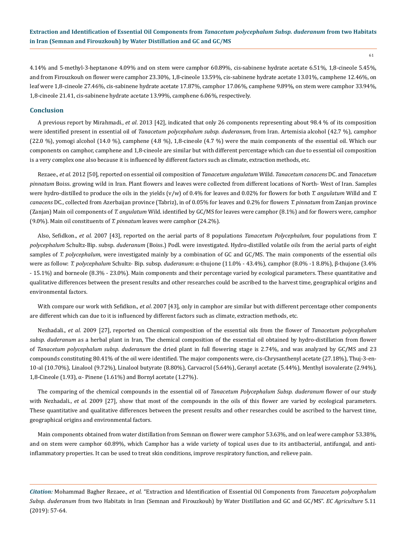61

4.14% and 5-methyl-3-heptanone 4.09% and on stem were camphor 60.89%, cis-sabinene hydrate acetate 6.51%, 1,8-cineole 5.45%, and from Firouzkouh on flower were camphor 23.30%, 1,8-cineole 13.59%, cis-sabinene hydrate acetate 13.01%, camphene 12.46%, on leaf were 1,8-cineole 27.46%, cis-sabinene hydrate acetate 17.87%, camphor 17.06%, camphene 9.89%, on stem were camphor 33.94%, 1,8-cineole 21.41, cis-sabinene hydrate acetate 13.99%, camphene 6.06%, respectively.

#### **Conclusion**

A previous report by [Mirahmadi](https://www.researchgate.net/profile/Seyed_Fazel_Mirahmadi)., *et al*. 2013 [42], indicated that only 26 components representing about 98.4 % of its composition were identified present in essential oil of *Tanacetum polycephalum subsp. duderanum*, from Iran. Artemisia alcohol (42.7 %), camphor (22.0 %), yomogi alcohol (14.0 %), camphene (4.8 %), 1,8-cineole (4.7 %) were the main components of the essential oil. Which our components on camphor, camphene and 1,8-cineole are similar but with different percentage which can due to essential oil composition is a very complex one also because it is influenced by different factors such as climate, extraction methods, etc.

Rezaee., *et al*. 2012 [50], reported on essential oil composition of *Tanacetum angulatum* Willd. *Tanacetum canacens* DC. and *Tanacetum pinnatum* Boiss. growing wild in Iran. Plant flowers and leaves were collected from different locations of North- West of Iran. Samples were hydro-distilled to produce the oils in the yields (v/w) of 0.4% for leaves and 0.02% for flowers for both *T. angulatum* Willd and *T. canacens* DC., collected from Azerbaijan province (Tabriz), in of 0.05% for leaves and 0.2% for flowers *T. pinnatum* from Zanjan province (Zanjan) Main oil components of *T. angulatum* Wild. identified by GC/MS for leaves were camphor (8.1%) and for flowers were, camphor (9.0%). Main oil constituents of *T. pinnatum* leaves were camphor (24.2%).

Also, Sefidkon., *et al*. 2007 [43], reported on the aerial parts of 8 populations *Tanacetum Polycephalum,* four populations from *T. polycephalum* Schultz-Bip. subsp. *duderanum* (Boiss.) Podl. were investigated. Hydro-distilled volatile oils from the aerial parts of eight samples of *T. polycephalum*, were investigated mainly by a combination of GC and GC/MS. The main components of the essential oils were as follow: *T. polycephalum* Schultz- Bip. subsp. *duderanum*: α-thujone (11.0% - 43.4%), camphor (8.0% -1 8.8%), β-thujone (3.4% - 15.1%) and borneole (8.3% - 23.0%). Main components and their percentage varied by ecological parameters. These quantitative and qualitative differences between the present results and other researches could be ascribed to the harvest time, geographical origins and environmental factors.

With compare our work with Sefidkon., *et al*. 2007 [43], only in camphor are similar but with different percentage other components are different which can due to it is influenced by different factors such as climate, extraction methods, etc.

Nezhadali., *et al*. 2009 [27], reported on Chemical composition of the essential oils from the flower of *Tanacetum polycephalum subsp. duderanum* as a herbal plant in Iran, The chemical composition of the essential oil obtained by hydro-distillation from flower of *Tanacetum polycephalum subsp. duderanum* the dried plant in full flowering stage is 2.74%, and was analyzed by GC/MS and 23 compounds constituting 80.41% of the oil were identified. The major components were, cis-Chrysanthenyl acetate (27.18%), Thuj-3-en-10-al (10.70%), Linalool (9.72%), Linalool butyrate (8.80%), Carvacrol (5.64%), Geranyl acetate (5.44%), Menthyl isovalerate (2.94%), 1,8-Cineole (1.93), α- Pinene (1.61%) and Bornyl acetate (1.27%).

The comparing of the chemical compounds in the essential oil of *Tanacetum Polycephalum Subsp. duderanum* flower of our study with Nezhadali., *et al.* 2009 [27], show that most of the compounds in the oils of this flower are varied by ecological parameters. These quantitative and qualitative differences between the present results and other researches could be ascribed to the harvest time, geographical origins and environmental factors.

Main components obtained from water distillation from Semnan on flower were camphor 53.63%, and on leaf were camphor 53.38%, and on stem were camphor 60.89%, which Camphor has a wide variety of topical uses due to its antibacterial, antifungal, and antiinflammatory properties. It can be used to treat skin conditions, improve respiratory function, and relieve pain.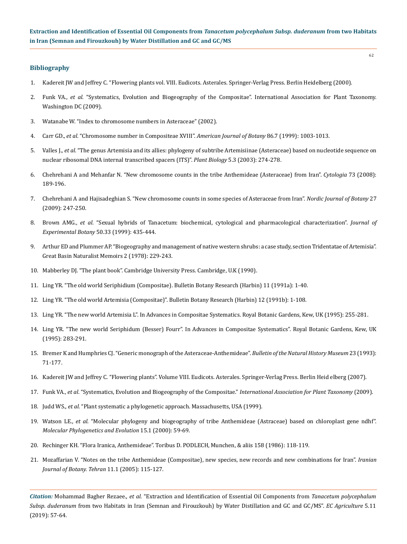## **Bibliography**

- 1. Kadereit JW and Jeffrey C. "Flowering plants vol. VIII. Eudicots. Asterales. Springer-Verlag Press. Berlin Heidelberg (2000).
- 2. Funk VA., *et al*. "Systematics, Evolution and Biogeography of the Compositae". International Association for Plant Taxonomy. Washington DC (2009).
- 3. Watanabe W. "Index to chromosome numbers in Asteraceae" (2002).
- 4. Carr GD., *et al*[. "Chromosome number in Compositeae XVIII".](https://www.ncbi.nlm.nih.gov/pubmed/10406724) *American Journal of Botany* 86.7 (1999): 1003-1013.
- 5. Valles J., *et al*[. "The genus Artemisia and its allies: phylogeny of subtribe Artemisiinae \(Asteraceae\) based on nucleotide sequence on](https://onlinelibrary.wiley.com/doi/abs/10.1055/s-2003-40790)  [nuclear ribosomal DNA internal transcribed spacers \(ITS\)".](https://onlinelibrary.wiley.com/doi/abs/10.1055/s-2003-40790) *Plant Biology* 5.3 (2003): 274-278.
- 6. Chehrehani A and Mehanfar N. "New chromosome counts in the tribe Anthemideae (Asteraceae) from Iran". *Cytologia* 73 (2008): 189-196.
- 7. Chehrehani A and Hajisadeghian S. "New chromosome counts in some species of Asteraceae from Iran". *Nordic Journal of Botany* 27 (2009): 247-250.
- 8. Brown AMG., *et al*. "Sexual hybrids of Tanacetum: biochemical, cytological and pharmacological characterization". *Journal of Experimental Botany* 50.33 (1999): 435-444.
- 9. Arthur ED and Plummer AP. "Biogeography and management of native western shrubs: a case study, section Tridentatae of Artemisia". Great Basin Naturalist Memoirs 2 (1978): 229-243.
- 10. Mabberley DJ. "The plant book". Cambridge University Press. Cambridge, U.K (1990).
- 11. Ling YR. "The old world Seriphidium (Compositae). Bulletin Botany Research (Harbin) 11 (1991a): 1-40.
- 12. Ling YR. "The old world Artemisia (Compositae)". Bulletin Botany Research (Harbin) 12 (1991b): 1-108.
- 13. Ling YR. "The new world Artemisia L". In Advances in Compositae Systematics. Royal Botanic Gardens, Kew, UK (1995): 255-281.
- 14. Ling YR. "The new world Seriphidum (Besser) Fourr". In Advances in Compositae Systematics". Royal Botanic Gardens, Kew, UK (1995): 283-291.
- 15. Bremer K and Humphries CJ. "Generic monograph of the Asteraceae-Anthemideae". *Bulletin of the Natural History Museum* 23 (1993): 71-177.
- 16. Kadereit JW and Jeffrey C. "Flowering plants". Volume VIII. Eudicots. Asterales. Springer-Verlag Press. Berlin Heid elberg (2007).
- 17. Funk VA., *et al*[. "Systematics, Evolution and Biogeography of the Compositae."](https://www.researchgate.net/publication/311811626_Systematics_Evolution_and_Biogeography_of_Compositae) *International Association for Plant Taxonomy* (2009).
- 18. Judd WS., *et al*. "Plant systematic a phylogenetic approach. Massachusetts, USA (1999).
- 19. Watson LE., *et al*[. "Molecular phylogeny and biogeography of tribe Anthemideae \(Astraceae\) based on chloroplast gene ndhf".](https://www.ncbi.nlm.nih.gov/pubmed/10764535)  *[Molecular Phylogenetics and Evolution](https://www.ncbi.nlm.nih.gov/pubmed/10764535)* 15.1 (2000): 59-69.
- 20. Rechinger KH. "Flora Iranica, Anthemideae". Toribus D. PODLECH, Munchen, & aliis 158 (1986): 118-119.
- 21. [Mozaffarian V. "Notes on the tribe Anthemideae \(Compositae\), new species, new records and new combinations for Iran".](https://www.sid.ir/en/journal/ViewPaper.aspx?id=87827) *Iranian [Journal of Botany. Tehran](https://www.sid.ir/en/journal/ViewPaper.aspx?id=87827)* 11.1 (2005): 115-127.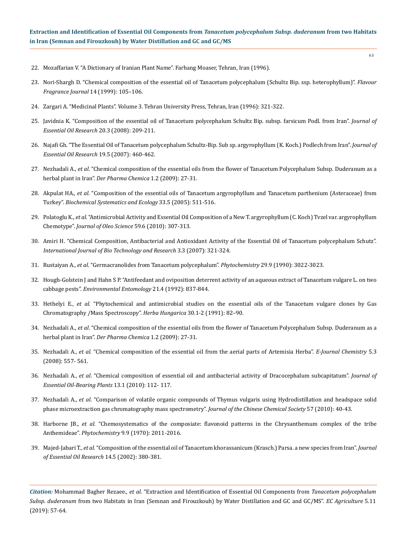- 22. Mozaffarian V. "A Dictionary of Iranian Plant Name". Farhang Moaser, Tehran, Iran (1996).
- 23. [Nori-Shargh D. "Chemical composition of the essential oil of Tanacetum polycephalum \(Schultz Bip. ssp. heterophyllum\)".](https://onlinelibrary.wiley.com/doi/abs/10.1002/%28SICI%291099-1026%28199903/04%2914%3A2%3C105%3A%3AAID-FFJ791%3E3.0.CO%3B2-7) *Flavour [Fragrance Journal](https://onlinelibrary.wiley.com/doi/abs/10.1002/%28SICI%291099-1026%28199903/04%2914%3A2%3C105%3A%3AAID-FFJ791%3E3.0.CO%3B2-7)* 14 (1999): 105–106.
- 24. Zargari A. "Medicinal Plants". Volume 3. Tehran University Press, Tehran, Iran (1996): 321-322.
- 25. [Javidnia K. "Composition of the essential oil of Tanacetum polycephalum Schultz Bip. subsp. farsicum Podl. from Iran".](https://www.tandfonline.com/doi/abs/10.1080/10412905.2008.9699993) *Journal of [Essential Oil Research](https://www.tandfonline.com/doi/abs/10.1080/10412905.2008.9699993)* 20.3 (2008): 209-211.
- 26. [Najafi Gh. "The Essential Oil of Tanacetum polycephalum Schultz-Bip. Sub sp. argyrophyllum \(K. Koch.\) Podlech from Iran".](https://www.tandfonline.com/doi/abs/10.1080/10412905.2007.9699952) *Journal of [Essential Oil Research](https://www.tandfonline.com/doi/abs/10.1080/10412905.2007.9699952)* 19.5 (2007): 460-462.
- 27. Nezhadali A., *et al*[. "Chemical composition of the essential oils from the flower of Tanacetum Polycephalum Subsp. Duderanum as a](https://www.derpharmachemica.com/pharma-chemica/chemical-composition-of-the-essential-oils-from-the-flower-of-tanacetum-polycephalum-subsp-duderanum-as-a-herbal-plant-i.pdf)  herbal plant in Iran". *[Der Pharma Chemica](https://www.derpharmachemica.com/pharma-chemica/chemical-composition-of-the-essential-oils-from-the-flower-of-tanacetum-polycephalum-subsp-duderanum-as-a-herbal-plant-i.pdf)* 1.2 (2009): 27-31.
- 28. Akpulat HA., *et al*[. "Composition of the essential oils of Tanacetum argyrophyllum and Tanacetum parthenium \(Asteraceae\) from](https://www.sciencedirect.com/science/article/pii/S0305197804002686)  Turkey". *[Biochemical Systematics and Ecology](https://www.sciencedirect.com/science/article/pii/S0305197804002686)* 33.5 (2005): 511-516.
- 29. Polatoglu K., *et al*[. "Antimicrobial Activity and Essential Oil Composition of a New T. argyrophyllum \(C. Koch\) Tvzel var. argyrophyllum](https://www.ncbi.nlm.nih.gov/pubmed/20484836)  Chemotype". *[Journal of Oleo Science](https://www.ncbi.nlm.nih.gov/pubmed/20484836)* 59.6 (2010): 307-313.
- 30. [Amiri H. "Chemical Composition, Antibacterial and Antioxidant Activity of the Essential Oil of Tanacetum polycephalum Schutz".](https://www.researchgate.net/publication/26609987_Chemical_Composition_Antibacterial_and_Antioxidant_Activity_of_the_Essential_Oil_of_Tanacetum_polycephalum_Schutz_Bip)  *[International Journal of Bio Technology and Research](https://www.researchgate.net/publication/26609987_Chemical_Composition_Antibacterial_and_Antioxidant_Activity_of_the_Essential_Oil_of_Tanacetum_polycephalum_Schutz_Bip)* 3.3 (2007): 321-324.
- 31. Rustaiyan A., *et al*[. "Germacranolides from Tanacetum polycephalum".](https://www.sciencedirect.com/science/article/abs/pii/003194229087127G) *Phytochemistry* 29.9 (1990): 3022-3023.
- 32. Hough-Golstein J and Hahn S P. "Antifeedant and oviposition deterrent activity of an aqueous extract of Tanacetum vulgare L. on two cabbage pests". *Environmental Entomology* 21.4 (1992): 837-844.
- 33. Hethelyi E., *et al*[. "Phytochemical and antimicrobial studies on the essential oils of the Tanacetum vulgare clones by Gas](https://geoscience.net/research/007/657/007657551.php)  [Chromatography /Mass Spectroscopy".](https://geoscience.net/research/007/657/007657551.php) *Herba Hungarica* 30.1-2 (1991): 82–90.
- 34. Nezhadali A., *et al*[. "Chemical composition of the essential oils from the flower of Tanacetum Polycephalum Subsp. Duderanum as a](https://www.derpharmachemica.com/pharma-chemica/chemical-composition-of-the-essential-oils-from-the-flower-of-tanacetum-polycephalum-subsp-duderanum-as-a-herbal-plant-i.pdf)  herbal plant in Iran". *[Der Pharma Chemica](https://www.derpharmachemica.com/pharma-chemica/chemical-composition-of-the-essential-oils-from-the-flower-of-tanacetum-polycephalum-subsp-duderanum-as-a-herbal-plant-i.pdf)* 1.2 (2009): 27-31.
- 35. Nezhadali A., *et al*[. "Chemical composition of the essential oil from the aerial parts of Artemisia Herba".](https://www.hindawi.com/journals/jchem/2008/730453/abs/) *E-Journal Chemistry* 5.3 [\(2008\): 557- 561.](https://www.hindawi.com/journals/jchem/2008/730453/abs/)
- 36. Nezhadali A., *et al*[. "Chemical composition of essential oil and antibacterial activity of Dracocephalum subcapitatum".](https://www.tandfonline.com/doi/abs/10.1080/0972060X.2010.10643798) *Journal of [Essential Oil-Bearing Plants](https://www.tandfonline.com/doi/abs/10.1080/0972060X.2010.10643798)* 13.1 (2010): 112- 117.
- 37. Nezhadali A., *et al*[. "Comparison of volatile organic compounds of Thymus vulgaris using Hydrodistillation and headspace solid](https://www.researchgate.net/publication/264703980_Comparison_of_Volatile_Organic_Compounds_of_Thymus_Vulgaris_Using_Hydrodistillation_and_Headspace_Solid_Phase_Microextraction_Gas_Chromatography_Mass_Spectrometry)  [phase microextraction gas chromatography mass spectrometry".](https://www.researchgate.net/publication/264703980_Comparison_of_Volatile_Organic_Compounds_of_Thymus_Vulgaris_Using_Hydrodistillation_and_Headspace_Solid_Phase_Microextraction_Gas_Chromatography_Mass_Spectrometry) *Journal of the Chinese Chemical Society* 57 (2010): 40-43.
- 38. Harborne JB., *et al*[. "Chemosystematics of the composiate: flavonoid patterns in the Chrysanthemum complex of the tribe](https://www.researchgate.net/publication/256826944_Chemosystematics_of_the_composiate_Flavonoid_patterns_in_the_Chrysanthemum_complex_of_the_tribe_Anthemideae)  Anthemideae". *Phytochemistry* [9.9 \(1970\): 2011-2016.](https://www.researchgate.net/publication/256826944_Chemosystematics_of_the_composiate_Flavonoid_patterns_in_the_Chrysanthemum_complex_of_the_tribe_Anthemideae)
- 39. Majed-Jabari T., *et al*[. "Composition of the essential oil of Tanacetum khorassanicum \(Krasch.\) Parsa. a new species from Iran".](https://www.tandfonline.com/doi/abs/10.1080/10412905.2002.9699893) *Journal [of Essential Oil Research](https://www.tandfonline.com/doi/abs/10.1080/10412905.2002.9699893)* 14.5 (2002): 380-381.

*Citation:* Mohammad Bagher Rezaee., *et al*. "Extraction and Identification of Essential Oil Components from *Tanacetum polycephalum Subsp*. *duderanum* from two Habitats in Iran (Semnan and Firouzkouh) by Water Distillation and GC and GC/MS". *EC Agriculture* 5.11 (2019): 57-64.

63